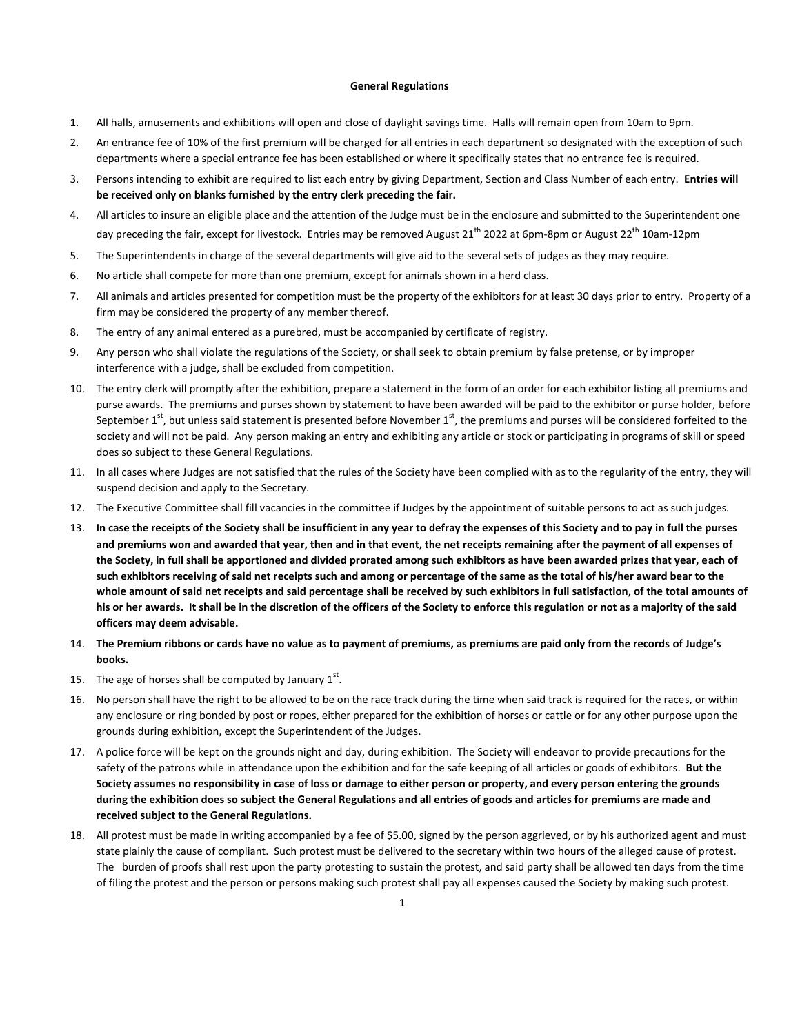### **General Regulations**

- 1. All halls, amusements and exhibitions will open and close of daylight savings time. Halls will remain open from 10am to 9pm.
- 2. An entrance fee of 10% of the first premium will be charged for all entries in each department so designated with the exception of such departments where a special entrance fee has been established or where it specifically states that no entrance fee is required.
- 3. Persons intending to exhibit are required to list each entry by giving Department, Section and Class Number of each entry. **Entries will be received only on blanks furnished by the entry clerk preceding the fair.**
- 4. All articles to insure an eligible place and the attention of the Judge must be in the enclosure and submitted to the Superintendent one day preceding the fair, except for livestock. Entries may be removed August 21<sup>th</sup> 2022 at 6pm-8pm or August 22<sup>th</sup> 10am-12pm
- 5. The Superintendents in charge of the several departments will give aid to the several sets of judges as they may require.
- 6. No article shall compete for more than one premium, except for animals shown in a herd class.
- 7. All animals and articles presented for competition must be the property of the exhibitors for at least 30 days prior to entry. Property of a firm may be considered the property of any member thereof.
- 8. The entry of any animal entered as a purebred, must be accompanied by certificate of registry.
- 9. Any person who shall violate the regulations of the Society, or shall seek to obtain premium by false pretense, or by improper interference with a judge, shall be excluded from competition.
- 10. The entry clerk will promptly after the exhibition, prepare a statement in the form of an order for each exhibitor listing all premiums and purse awards. The premiums and purses shown by statement to have been awarded will be paid to the exhibitor or purse holder, before September  $1^{st}$ , but unless said statement is presented before November  $1^{st}$ , the premiums and purses will be considered forfeited to the society and will not be paid. Any person making an entry and exhibiting any article or stock or participating in programs of skill or speed does so subject to these General Regulations.
- 11. In all cases where Judges are not satisfied that the rules of the Society have been complied with as to the regularity of the entry, they will suspend decision and apply to the Secretary.
- 12. The Executive Committee shall fill vacancies in the committee if Judges by the appointment of suitable persons to act as such judges.
- 13. **In case the receipts of the Society shall be insufficient in any year to defray the expenses of this Society and to pay in full the purses and premiums won and awarded that year, then and in that event, the net receipts remaining after the payment of all expenses of the Society, in full shall be apportioned and divided prorated among such exhibitors as have been awarded prizes that year, each of such exhibitors receiving of said net receipts such and among or percentage of the same as the total of his/her award bear to the whole amount of said net receipts and said percentage shall be received by such exhibitors in full satisfaction, of the total amounts of his or her awards. It shall be in the discretion of the officers of the Society to enforce this regulation or not as a majority of the said officers may deem advisable.**
- 14. **The Premium ribbons or cards have no value as to payment of premiums, as premiums are paid only from the records of Judge's books.**
- 15. The age of horses shall be computed by January  $1<sup>st</sup>$ .
- 16. No person shall have the right to be allowed to be on the race track during the time when said track is required for the races, or within any enclosure or ring bonded by post or ropes, either prepared for the exhibition of horses or cattle or for any other purpose upon the grounds during exhibition, except the Superintendent of the Judges.
- 17. A police force will be kept on the grounds night and day, during exhibition. The Society will endeavor to provide precautions for the safety of the patrons while in attendance upon the exhibition and for the safe keeping of all articles or goods of exhibitors. **But the Society assumes no responsibility in case of loss or damage to either person or property, and every person entering the grounds during the exhibition does so subject the General Regulations and all entries of goods and articles for premiums are made and received subject to the General Regulations.**
- 18. All protest must be made in writing accompanied by a fee of \$5.00, signed by the person aggrieved, or by his authorized agent and must state plainly the cause of compliant. Such protest must be delivered to the secretary within two hours of the alleged cause of protest. The burden of proofs shall rest upon the party protesting to sustain the protest, and said party shall be allowed ten days from the time of filing the protest and the person or persons making such protest shall pay all expenses caused the Society by making such protest.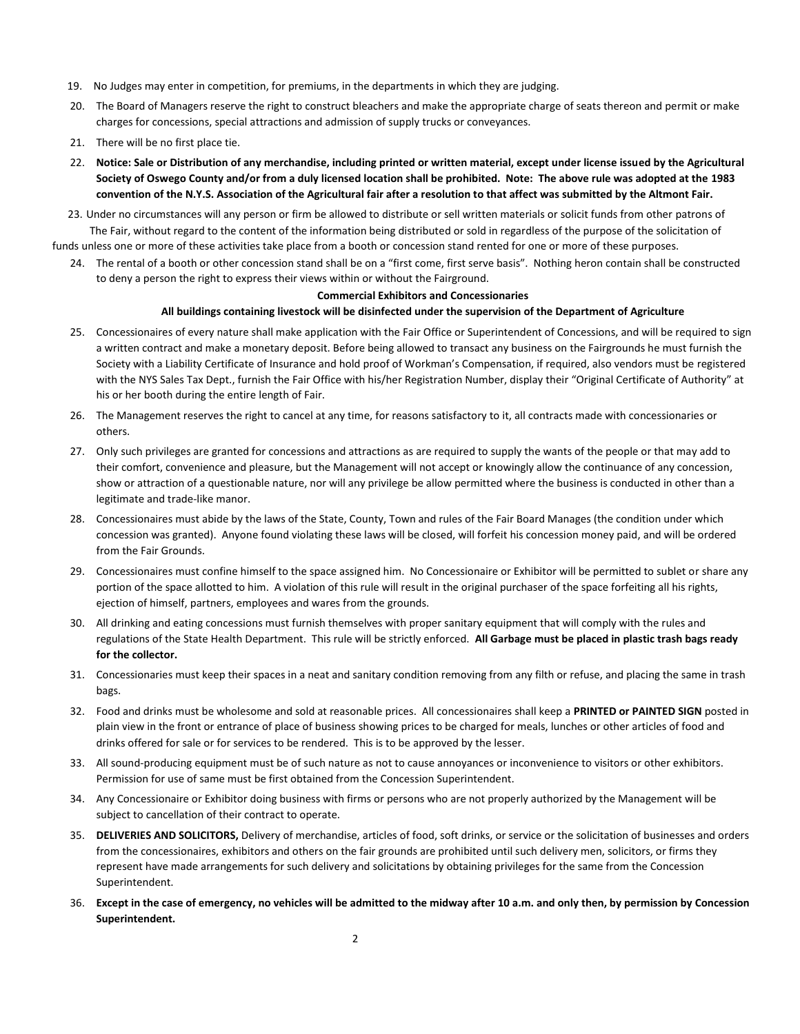- 19. No Judges may enter in competition, for premiums, in the departments in which they are judging.
- 20. The Board of Managers reserve the right to construct bleachers and make the appropriate charge of seats thereon and permit or make charges for concessions, special attractions and admission of supply trucks or conveyances.
- 21. There will be no first place tie.
- 22. **Notice: Sale or Distribution of any merchandise, including printed or written material, except under license issued by the Agricultural Society of Oswego County and/or from a duly licensed location shall be prohibited. Note: The above rule was adopted at the 1983 convention of the N.Y.S. Association of the Agricultural fair after a resolution to that affect was submitted by the Altmont Fair.**

23. Under no circumstances will any person or firm be allowed to distribute or sell written materials or solicit funds from other patrons of The Fair, without regard to the content of the information being distributed or sold in regardless of the purpose of the solicitation of funds unless one or more of these activities take place from a booth or concession stand rented for one or more of these purposes.

24. The rental of a booth or other concession stand shall be on a "first come, first serve basis". Nothing heron contain shall be constructed to deny a person the right to express their views within or without the Fairground.

### **Commercial Exhibitors and Concessionaries**

## **All buildings containing livestock will be disinfected under the supervision of the Department of Agriculture**

- 25. Concessionaires of every nature shall make application with the Fair Office or Superintendent of Concessions, and will be required to sign a written contract and make a monetary deposit. Before being allowed to transact any business on the Fairgrounds he must furnish the Society with a Liability Certificate of Insurance and hold proof of Workman's Compensation, if required, also vendors must be registered with the NYS Sales Tax Dept., furnish the Fair Office with his/her Registration Number, display their "Original Certificate of Authority" at his or her booth during the entire length of Fair.
- 26. The Management reserves the right to cancel at any time, for reasons satisfactory to it, all contracts made with concessionaries or others.
- 27. Only such privileges are granted for concessions and attractions as are required to supply the wants of the people or that may add to their comfort, convenience and pleasure, but the Management will not accept or knowingly allow the continuance of any concession, show or attraction of a questionable nature, nor will any privilege be allow permitted where the business is conducted in other than a legitimate and trade-like manor.
- 28. Concessionaires must abide by the laws of the State, County, Town and rules of the Fair Board Manages (the condition under which concession was granted). Anyone found violating these laws will be closed, will forfeit his concession money paid, and will be ordered from the Fair Grounds.
- 29. Concessionaires must confine himself to the space assigned him. No Concessionaire or Exhibitor will be permitted to sublet or share any portion of the space allotted to him. A violation of this rule will result in the original purchaser of the space forfeiting all his rights, ejection of himself, partners, employees and wares from the grounds.
- 30. All drinking and eating concessions must furnish themselves with proper sanitary equipment that will comply with the rules and regulations of the State Health Department. This rule will be strictly enforced. **All Garbage must be placed in plastic trash bags ready for the collector.**
- 31. Concessionaries must keep their spaces in a neat and sanitary condition removing from any filth or refuse, and placing the same in trash bags.
- 32. Food and drinks must be wholesome and sold at reasonable prices. All concessionaires shall keep a **PRINTED or PAINTED SIGN** posted in plain view in the front or entrance of place of business showing prices to be charged for meals, lunches or other articles of food and drinks offered for sale or for services to be rendered. This is to be approved by the lesser.
- 33. All sound-producing equipment must be of such nature as not to cause annoyances or inconvenience to visitors or other exhibitors. Permission for use of same must be first obtained from the Concession Superintendent.
- 34. Any Concessionaire or Exhibitor doing business with firms or persons who are not properly authorized by the Management will be subject to cancellation of their contract to operate.
- 35. **DELIVERIES AND SOLICITORS,** Delivery of merchandise, articles of food, soft drinks, or service or the solicitation of businesses and orders from the concessionaires, exhibitors and others on the fair grounds are prohibited until such delivery men, solicitors, or firms they represent have made arrangements for such delivery and solicitations by obtaining privileges for the same from the Concession Superintendent.
- 36. **Except in the case of emergency, no vehicles will be admitted to the midway after 10 a.m. and only then, by permission by Concession Superintendent.**